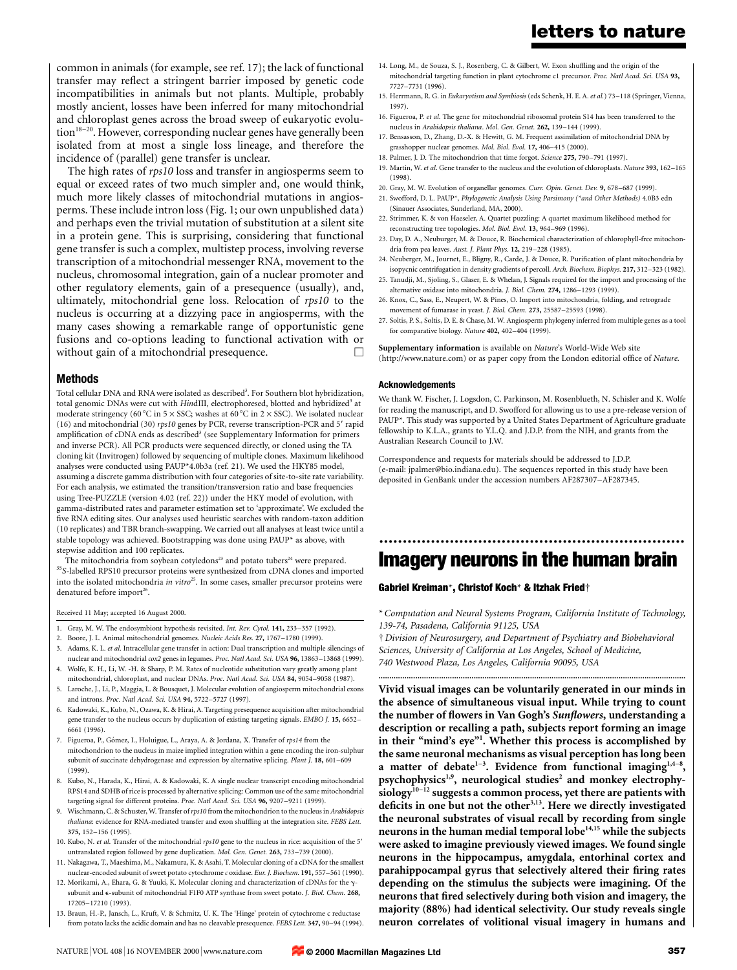common in animals (for example, see ref. 17); the lack of functional transfer may reflect a stringent barrier imposed by genetic code incompatibilities in animals but not plants. Multiple, probably mostly ancient, losses have been inferred for many mitochondrial and chloroplast genes across the broad sweep of eukaryotic evolu- $\chi$  tion<sup>18–20</sup>. However, corresponding nuclear genes have generally been isolated from at most a single loss lineage, and therefore the incidence of (parallel) gene transfer is unclear.

The high rates of rps10 loss and transfer in angiosperms seem to equal or exceed rates of two much simpler and, one would think, much more likely classes of mitochondrial mutations in angiosperms. These include intron loss (Fig. 1; our own unpublished data) and perhaps even the trivial mutation of substitution at a silent site in a protein gene. This is surprising, considering that functional gene transfer is such a complex, multistep process, involving reverse transcription of a mitochondrial messenger RNA, movement to the nucleus, chromosomal integration, gain of a nuclear promoter and other regulatory elements, gain of a presequence (usually), and, ultimately, mitochondrial gene loss. Relocation of rps10 to the nucleus is occurring at a dizzying pace in angiosperms, with the many cases showing a remarkable range of opportunistic gene fusions and co-options leading to functional activation with or without gain of a mitochondrial presequence.

# Methods

Total cellular DNA and RNA were isolated as described<sup>3</sup>. For Southern blot hybridization, total genomic DNAs were cut with HindIII, electrophoresed, blotted and hybridized<sup>3</sup> at moderate stringency (60 °C in 5  $\times$  SSC; washes at 60 °C in 2  $\times$  SSC). We isolated nuclear (16) and mitochondrial (30)  $rps10$  genes by PCR, reverse transcription-PCR and 5' rapid amplification of cDNA ends as described<sup>3</sup> (see Supplementary Information for primers and inverse PCR). All PCR products were sequenced directly, or cloned using the TA cloning kit (Invitrogen) followed by sequencing of multiple clones. Maximum likelihood analyses were conducted using PAUP\*4.0b3a (ref. 21). We used the HKY85 model, assuming a discrete gamma distribution with four categories of site-to-site rate variability. For each analysis, we estimated the transition/transversion ratio and base frequencies using Tree-PUZZLE (version 4.02 (ref. 22)) under the HKY model of evolution, with gamma-distributed rates and parameter estimation set to `approximate'. We excluded the five RNA editing sites. Our analyses used heuristic searches with random-taxon addition (10 replicates) and TBR branch-swapping. We carried out all analyses at least twice until a stable topology was achieved. Bootstrapping was done using PAUP\* as above, with stepwise addition and 100 replicates.

The mitochondria from soybean cotyledons<sup>23</sup> and potato tubers<sup>24</sup> were prepared.  $\mathrm{^{35}S}\text{-}$  labelled RPS10 precursor proteins were synthesized from cDNA clones and imported into the isolated mitochondria in vitro<sup>25</sup>. In some cases, smaller precursor proteins were denatured before import<sup>26</sup>.

#### Received 11 May; accepted 16 August 2000.

- 1. Gray, M. W. The endosymbiont hypothesis revisited. Int. Rev. Cytol. 141, 233-357 (1992).
- 2. Boore, J. L. Animal mitochondrial genomes. Nucleic Acids Res. 27, 1767-1780 (1999)
- 3. Adams, K. L. et al. Intracellular gene transfer in action: Dual transcription and multiple silencings of nuclear and mitochondrial cox2 genes in legumes. Proc. Natl Acad. Sci. USA 96, 13863-13868 (1999).
- 4. Wolfe, K. H., Li, W. -H. & Sharp, P. M. Rates of nucleotide substitution vary greatly among plant mitochondrial, chloroplast, and nuclear DNAs. Proc. Natl Acad. Sci. USA 84, 9054-9058 (1987). 5. Laroche, J., Li, P., Maggia, L. & Bousquet, J. Molecular evolution of angiosperm mitochondrial exons
- and introns. Proc. Natl Acad. Sci. USA 94, 5722-5727 (1997).
- 6. Kadowaki, K., Kubo, N., Ozawa, K. & Hirai, A. Targeting presequence acquisition after mitochondrial gene transfer to the nucleus occurs by duplication of existing targeting signals. EMBO J. 15, 6652-6661 (1996).
- 7. Figueroa, P., Gómez, I., Holuigue, L., Araya, A. & Jordana, X. Transfer of rps14 from the mitochondrion to the nucleus in maize implied integration within a gene encoding the iron-sulphur subunit of succinate dehydrogenase and expression by alternative splicing. Plant J. 18, 601-609 (1999).
- 8. Kubo, N., Harada, K., Hirai, A. & Kadowaki, K. A single nuclear transcript encoding mitochondrial RPS14 and SDHB of rice is processed by alternative splicing: Common use of the same mitochondrial targeting signal for different proteins. Proc. Natl Acad. Sci. USA 96, 9207-9211 (1999).
- 9. Wischmann, C. & Schuster, W. Transfer of rps10 from the mitochondrion to the nucleus in Arabidopsis thaliana: evidence for RNA-mediated transfer and exon shuffling at the integration site. FEBS Lett. 375, 152±156 (1995).
- 10. Kubo, N. et al. Transfer of the mitochondrial rps10 gene to the nucleus in rice: acquisition of the 5' untranslated region followed by gene duplication. Mol. Gen. Genet. 263, 733-739 (2000).
- 11. Nakagawa, T., Maeshima, M., Nakamura, K. & Asahi, T. Molecular cloning of a cDNA for the smallest nuclear-encoded subunit of sweet potato cytochrome c oxidase. Eur. J. Biochem. 191, 557-561 (1990).
- 12. Morikami, A., Ehara, G. & Yuuki, K. Molecular cloning and characterization of cDNAs for the  $\gamma$ subunit and  $\epsilon$ -subunit of mitochondrial F1F0 ATP synthase from sweet potato. *J. Biol. Chem.* 268, 17205±17210 (1993).
- 13. Braun, H.-P., Jansch, L., Kruft, V. & Schmitz, U. K. The `Hinge' protein of cytochrome c reductase from potato lacks the acidic domain and has no cleavable presequence. FEBS Lett. 347, 90-94 (1994).
- 14. Long, M., de Souza, S. J., Rosenberg, C. & Gilbert, W. Exon shuffling and the origin of the mitochondrial targeting function in plant cytochrome c1 precursor. Proc. Natl Acad. Sci. USA 93, 7727±7731 (1996).
- 15. Herrmann, R. G. in Eukaryotism and Symbiosis (eds Schenk, H. E. A. et al.) 73-118 (Springer, Vienna, 1997).
- 16. Figueroa, P. et al. The gene for mitochondrial ribosomal protein S14 has been transferred to the nucleus in Arabidopsis thaliana. Mol. Gen. Genet. 262, 139-144 (1999).
- 17. Bensasson, D., Zhang, D.-X. & Hewitt, G. M. Frequent assimilation of mitochondrial DNA by grasshopper nuclear genomes. Mol. Biol. Evol. 17, 406-415 (2000).
- 18. Palmer, J. D. The mitochondrion that time forgot. Science 275, 790-791 (1997).
- 19. Martin, W. et al. Gene transfer to the nucleus and the evolution of chloroplasts. Nature 393, 162-165 (1998).
- 20. Gray, M. W. Evolution of organellar genomes. Curr. Opin. Genet. Dev. 9, 678-687 (1999).
- 21. Swofford, D. L. PAUP\*, Phylogenetic Analysis Using Parsimony (\*and Other Methods) 4.0B3 edn (Sinauer Associates, Sunderland, MA, 2000).
- 22. Strimmer, K. & von Haeseler, A. Quartet puzzling: A quartet maximum likelihood method for reconstructing tree topologies. Mol. Biol. Evol. 13, 964-969 (1996).
- 23. Day, D. A., Neuburger, M. & Douce, R. Biochemical characterization of chlorophyll-free mitochondria from pea leaves. Aust. J. Plant Phys. 12, 219-228 (1985).
- 24. Neuberger, M., Journet, E., Bligny, R., Carde, J. & Douce, R. Purification of plant mitochondria by isopycnic centrifugation in density gradients of percoll. Arch. Biochem. Biophys. 217, 312-323 (1982).
- 25. Tanudji, M., Sjoling, S., Glaser, E. & Whelan, J. Signals required for the import and processing of the alternative oxidase into mitochondria. J. Biol. Chem. 274, 1286-1293 (1999).
- 26. Knox, C., Sass, E., Neupert, W. & Pines, O. Import into mitochondria, folding, and retrograde movement of fumarase in yeast. J. Biol. Chem. 273, 25587-25593 (1998).
- 27. Soltis, P. S., Soltis, D. E. & Chase, M. W. Angiosperm phylogeny inferred from multiple genes as a tool for comparative biology. Nature 402, 402-404 (1999).

Supplementary information is available on Nature's World-Wide Web site (http://www.nature.com) or as paper copy from the London editorial office of Nature.

### Acknowledgements

We thank W. Fischer, J. Logsdon, C. Parkinson, M. Rosenblueth, N. Schisler and K. Wolfe for reading the manuscript, and D. Swofford for allowing us to use a pre-release version of PAUP\*. This study was supported by a United States Department of Agriculture graduate fellowship to K.L.A., grants to Y.L.Q. and J.D.P. from the NIH, and grants from the Australian Research Council to J.W.

Correspondence and requests for materials should be addressed to J.D.P. (e-mail: jpalmer@bio.indiana.edu). The sequences reported in this study have been deposited in GenBank under the accession numbers AF287307-AF287345.

# ................................................................. Imagery neurons in the human brain

## Gabriel Kreiman\*, Christof Koch\* & Itzhak Fried²

\* Computation and Neural Systems Program, California Institute of Technology, 139-74, Pasadena, California 91125, USA

² Division of Neurosurgery, and Department of Psychiatry and Biobehavioral Sciences, University of California at Los Angeles, School of Medicine, 740 Westwood Plaza, Los Angeles, California 90095, USA

.............................................................................................................................................. Vivid visual images can be voluntarily generated in our minds in the absence of simultaneous visual input. While trying to count the number of flowers in Van Gogh's Sunflowers, understanding a description or recalling a path, subjects report forming an image in their "mind's eye"<sup>1</sup>. Whether this process is accomplished by the same neuronal mechanisms as visual perception has long been a matter of debate<sup>1-3</sup>. Evidence from functional imaging<sup>1,4-8</sup>, psychophysics<sup>1,9</sup>, neurological studies<sup>2</sup> and monkey electrophy $siology^{10-12}$  suggests a common process, yet there are patients with deficits in one but not the other<sup>3,13</sup>. Here we directly investigated the neuronal substrates of visual recall by recording from single neurons in the human medial temporal lobe<sup>14,15</sup> while the subjects were asked to imagine previously viewed images. We found single neurons in the hippocampus, amygdala, entorhinal cortex and parahippocampal gyrus that selectively altered their firing rates depending on the stimulus the subjects were imagining. Of the neurons that fired selectively during both vision and imagery, the majority (88%) had identical selectivity. Our study reveals single neuron correlates of volitional visual imagery in humans and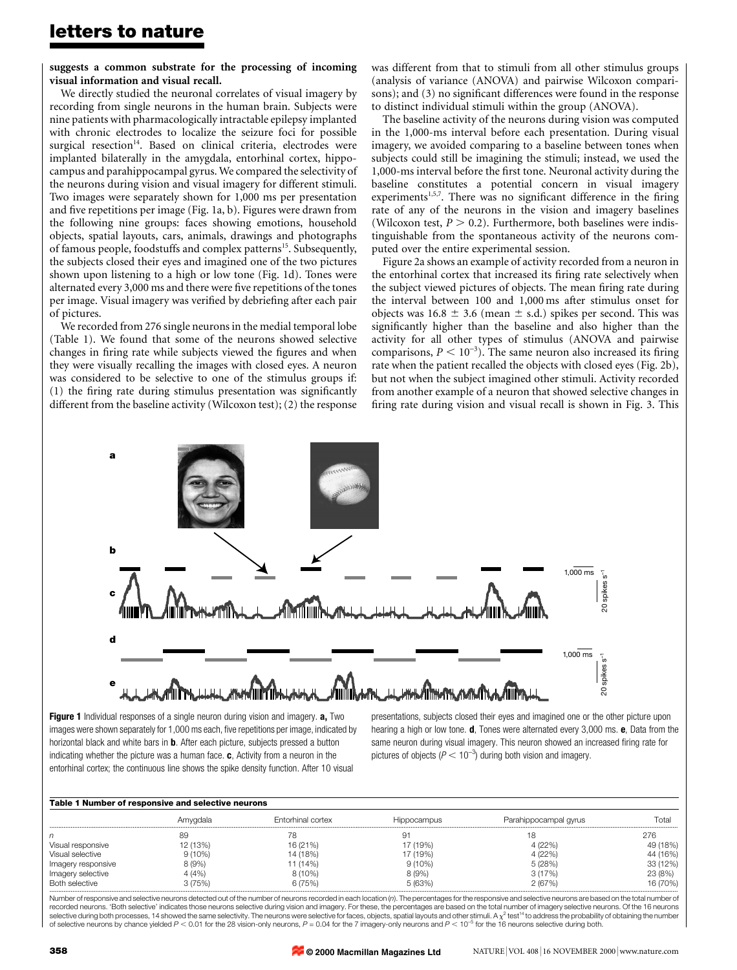suggests a common substrate for the processing of incoming visual information and visual recall.

We directly studied the neuronal correlates of visual imagery by recording from single neurons in the human brain. Subjects were nine patients with pharmacologically intractable epilepsy implanted with chronic electrodes to localize the seizure foci for possible surgical resection<sup>14</sup>. Based on clinical criteria, electrodes were implanted bilaterally in the amygdala, entorhinal cortex, hippocampus and parahippocampal gyrus. We compared the selectivity of the neurons during vision and visual imagery for different stimuli. Two images were separately shown for 1,000 ms per presentation and five repetitions per image (Fig. 1a, b). Figures were drawn from the following nine groups: faces showing emotions, household objects, spatial layouts, cars, animals, drawings and photographs of famous people, foodstuffs and complex patterns<sup>15</sup>. Subsequently, the subjects closed their eyes and imagined one of the two pictures shown upon listening to a high or low tone (Fig. 1d). Tones were alternated every 3,000 ms and there were five repetitions of the tones per image. Visual imagery was verified by debriefing after each pair of pictures.

We recorded from 276 single neurons in the medial temporal lobe (Table 1). We found that some of the neurons showed selective changes in firing rate while subjects viewed the figures and when they were visually recalling the images with closed eyes. A neuron was considered to be selective to one of the stimulus groups if:  $(1)$  the firing rate during stimulus presentation was significantly different from the baseline activity (Wilcoxon test); (2) the response was different from that to stimuli from all other stimulus groups (analysis of variance (ANOVA) and pairwise Wilcoxon comparisons); and (3) no significant differences were found in the response to distinct individual stimuli within the group (ANOVA).

The baseline activity of the neurons during vision was computed in the 1,000-ms interval before each presentation. During visual imagery, we avoided comparing to a baseline between tones when subjects could still be imagining the stimuli; instead, we used the 1,000-ms interval before the first tone. Neuronal activity during the baseline constitutes a potential concern in visual imagery experiments<sup>1,5,7</sup>. There was no significant difference in the firing rate of any of the neurons in the vision and imagery baselines (Wilcoxon test,  $P > 0.2$ ). Furthermore, both baselines were indistinguishable from the spontaneous activity of the neurons computed over the entire experimental session.

Figure 2a shows an example of activity recorded from a neuron in the entorhinal cortex that increased its firing rate selectively when the subject viewed pictures of objects. The mean firing rate during the interval between 100 and 1,000 ms after stimulus onset for objects was  $16.8 \pm 3.6$  (mean  $\pm$  s.d.) spikes per second. This was significantly higher than the baseline and also higher than the activity for all other types of stimulus (ANOVA and pairwise comparisons,  $P < 10^{-3}$ ). The same neuron also increased its firing rate when the patient recalled the objects with closed eyes (Fig. 2b), but not when the subject imagined other stimuli. Activity recorded from another example of a neuron that showed selective changes in firing rate during vision and visual recall is shown in Fig. 3. This



Figure 1 Individual responses of a single neuron during vision and imagery. a, Two images were shown separately for 1,000 ms each, five repetitions per image, indicated by horizontal black and white bars in **b**. After each picture, subjects pressed a button indicating whether the picture was a human face.  $c$ , Activity from a neuron in the entorhinal cortex; the continuous line shows the spike density function. After 10 visual

presentations, subjects closed their eyes and imagined one or the other picture upon hearing a high or low tone. **d**, Tones were alternated every 3,000 ms. **e**, Data from the same neuron during visual imagery. This neuron showed an increased firing rate for pictures of objects ( $P < 10^{-3}$ ) during both vision and imagery.

| Table 1 Number of responsive and selective neurons | Amygdala  | Entorhinal cortex | <b>Hippocampus</b> | Parahippocampal gyrus | Total    |
|----------------------------------------------------|-----------|-------------------|--------------------|-----------------------|----------|
| n                                                  | 89        |                   | 9.                 |                       | 276      |
| Visual responsive                                  | 12 (13%)  | 16 (21%)          | 17 (19%)           | 4 (22%)               | 49 (18%) |
| Visual selective                                   | $9(10\%)$ | 14 (18%)          | 17 (19%)           | 4 (22%)               | 44 (16%) |
| Imagery responsive                                 | 8(9%)     | 11 (14%)          | 9(10%)             | 5(28%)                | 33 (12%) |
| Imagery selective                                  | 4(4%)     | $8(10\%)$         | 8(9%)              | 3(17%)                | 23 (8%)  |
| Both selective                                     | 3(75%)    | 6(75%)            | 5 (63%)            | 2(67%)                | 16 (70%) |

Number of responsive and selective neurons detected out of the number of neurons recorded in each location (n). The percentages for the responsive and selective neurons are based on the total number of recorded neurons. `Both selective' indicates those neurons selective during vision and imagery. For these, the percentages are based on the total number of imagery selective neurons. Of the 16 neurons selective during both processes, 14 showed the same selectivity. The neurons were selective for faces, objects, spatial layouts and other stimuli. A  $\chi^2$  test<sup>14</sup> to address the probability of obtaining the number of selective neurons by chance yielded  $P < 0.01$  for the 28 vision-only neurons,  $P = 0.04$  for the 7 imagery-only neurons and  $P < 10^{-5}$  for the 16 neurons selective during both.

**© 2000 Macmillan Magazines Ltd**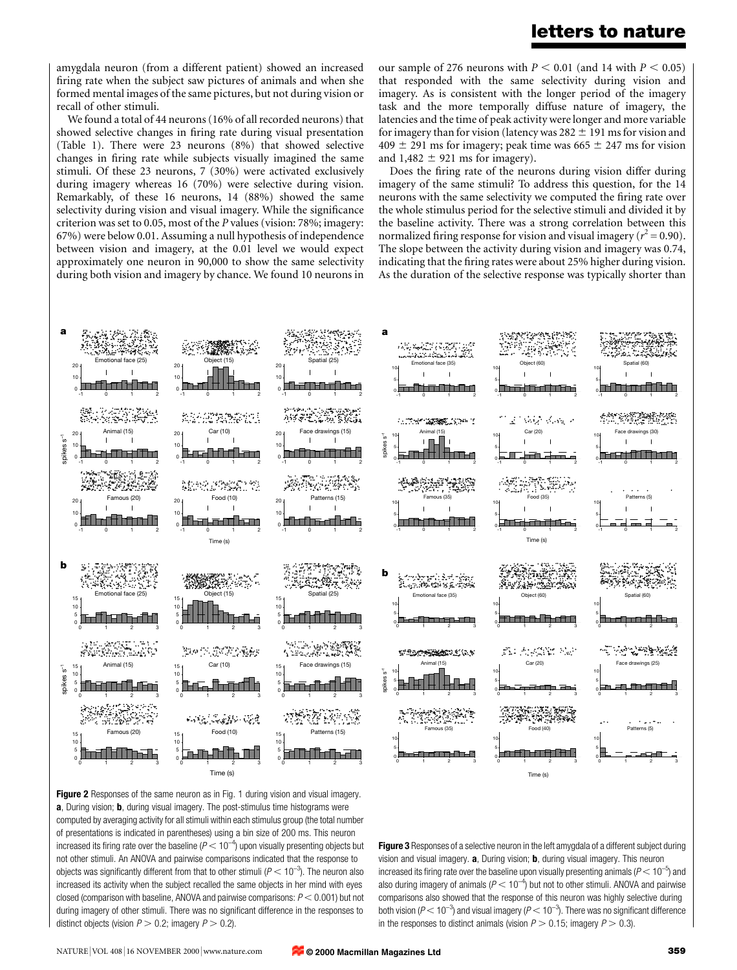# letters to nature

amygdala neuron (from a different patient) showed an increased firing rate when the subject saw pictures of animals and when she formed mental images of the same pictures, but not during vision or recall of other stimuli.

We found a total of 44 neurons (16% of all recorded neurons) that showed selective changes in firing rate during visual presentation (Table 1). There were 23 neurons (8%) that showed selective changes in firing rate while subjects visually imagined the same stimuli. Of these 23 neurons, 7 (30%) were activated exclusively during imagery whereas 16 (70%) were selective during vision. Remarkably, of these 16 neurons, 14 (88%) showed the same selectivity during vision and visual imagery. While the significance criterion was set to 0.05, most of the P values (vision: 78%; imagery: 67%) were below 0.01. Assuming a null hypothesis of independence between vision and imagery, at the 0.01 level we would expect approximately one neuron in 90,000 to show the same selectivity during both vision and imagery by chance. We found 10 neurons in our sample of 276 neurons with  $P < 0.01$  (and 14 with  $P < 0.05$ ) that responded with the same selectivity during vision and imagery. As is consistent with the longer period of the imagery task and the more temporally diffuse nature of imagery, the latencies and the time of peak activity were longer and more variable for imagery than for vision (latency was  $282 \pm 191$  ms for vision and  $409 \pm 291$  ms for imagery; peak time was  $665 \pm 247$  ms for vision and  $1,482 \pm 921$  ms for imagery).

Does the firing rate of the neurons during vision differ during imagery of the same stimuli? To address this question, for the 14 neurons with the same selectivity we computed the firing rate over the whole stimulus period for the selective stimuli and divided it by the baseline activity. There was a strong correlation between this normalized firing response for vision and visual imagery ( $r^2$  = 0.90). The slope between the activity during vision and imagery was 0.74, indicating that the firing rates were about 25% higher during vision. As the duration of the selective response was typically shorter than



Figure 2 Responses of the same neuron as in Fig. 1 during vision and visual imagery. a, During vision; **b**, during visual imagery. The post-stimulus time histograms were computed by averaging activity for all stimuli within each stimulus group (the total number of presentations is indicated in parentheses) using a bin size of 200 ms. This neuron increased its firing rate over the baseline ( $P < 10^{-4}$ ) upon visually presenting objects but not other stimuli. An ANOVA and pairwise comparisons indicated that the response to objects was significantly different from that to other stimuli ( $P < 10^{-3}$ ). The neuron also increased its activity when the subject recalled the same objects in her mind with eyes closed (comparison with baseline, ANOVA and pairwise comparisons:  $P < 0.001$ ) but not during imagery of other stimuli. There was no significant difference in the responses to distinct objects (vision  $P > 0.2$ ; imagery  $P > 0.2$ ).

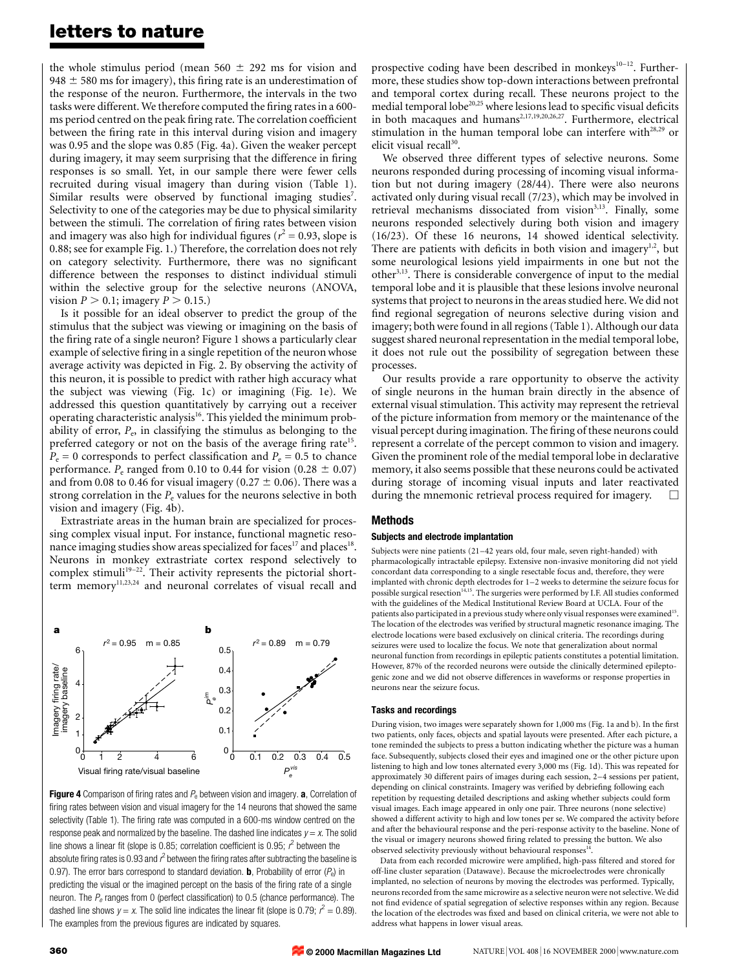# letters to nature

the whole stimulus period (mean 560  $\pm$  292 ms for vision and 948  $\pm$  580 ms for imagery), this firing rate is an underestimation of the response of the neuron. Furthermore, the intervals in the two tasks were different. We therefore computed the firing rates in a 600ms period centred on the peak firing rate. The correlation coefficient between the firing rate in this interval during vision and imagery was 0.95 and the slope was 0.85 (Fig. 4a). Given the weaker percept during imagery, it may seem surprising that the difference in firing responses is so small. Yet, in our sample there were fewer cells recruited during visual imagery than during vision (Table 1). Similar results were observed by functional imaging studies<sup>7</sup>. Selectivity to one of the categories may be due to physical similarity between the stimuli. The correlation of firing rates between vision and imagery was also high for individual figures ( $r^2$  = 0.93, slope is 0.88; see for example Fig. 1.) Therefore, the correlation does not rely on category selectivity. Furthermore, there was no significant difference between the responses to distinct individual stimuli within the selective group for the selective neurons (ANOVA, vision  $P > 0.1$ ; imagery  $P > 0.15$ .)

Is it possible for an ideal observer to predict the group of the stimulus that the subject was viewing or imagining on the basis of the firing rate of a single neuron? Figure 1 shows a particularly clear example of selective firing in a single repetition of the neuron whose average activity was depicted in Fig. 2. By observing the activity of this neuron, it is possible to predict with rather high accuracy what the subject was viewing (Fig. 1c) or imagining (Fig. 1e). We addressed this question quantitatively by carrying out a receiver operating characteristic analysis<sup>16</sup>. This yielded the minimum probability of error,  $P_e$ , in classifying the stimulus as belonging to the preferred category or not on the basis of the average firing rate<sup>15</sup>.  $P_e = 0$  corresponds to perfect classification and  $P_e = 0.5$  to chance performance.  $P_e$  ranged from 0.10 to 0.44 for vision (0.28  $\pm$  0.07) and from 0.08 to 0.46 for visual imagery (0.27  $\pm$  0.06). There was a strong correlation in the  $P_e$  values for the neurons selective in both vision and imagery (Fig. 4b).

Extrastriate areas in the human brain are specialized for processing complex visual input. For instance, functional magnetic resonance imaging studies show areas specialized for faces<sup>17</sup> and places<sup>18</sup>. Neurons in monkey extrastriate cortex respond selectively to complex stimuli<sup>19-22</sup>. Their activity represents the pictorial shortterm memory<sup>11,23,24</sup> and neuronal correlates of visual recall and



Figure 4 Comparison of firing rates and  $P_e$  between vision and imagery. a, Correlation of firing rates between vision and visual imagery for the 14 neurons that showed the same selectivity (Table 1). The firing rate was computed in a 600-ms window centred on the response peak and normalized by the baseline. The dashed line indicates  $y = x$ . The solid line shows a linear fit (slope is 0.85; correlation coefficient is 0.95;  $r^2$  between the absolute firing rates is 0.93 and  $\vec{r}$  between the firing rates after subtracting the baseline is 0.97). The error bars correspond to standard deviation. **b**, Probability of error  $(P_e)$  in predicting the visual or the imagined percept on the basis of the firing rate of a single neuron. The  $P_e$  ranges from 0 (perfect classification) to 0.5 (chance performance). The dashed line shows  $y = x$ . The solid line indicates the linear fit (slope is 0.79;  $r^2 = 0.89$ ). The examples from the previous figures are indicated by squares.

prospective coding have been described in monkeys $10-12$ . Furthermore, these studies show top-down interactions between prefrontal and temporal cortex during recall. These neurons project to the medial temporal lobe<sup>20,25</sup> where lesions lead to specific visual deficits in both macaques and humans<sup>2,17,19,20,26,27</sup>. Furthermore, electrical stimulation in the human temporal lobe can interfere with<sup>28,29</sup> or elicit visual recall<sup>30</sup>.

We observed three different types of selective neurons. Some neurons responded during processing of incoming visual information but not during imagery (28/44). There were also neurons activated only during visual recall (7/23), which may be involved in retrieval mechanisms dissociated from vision<sup>3,13</sup>. Finally, some neurons responded selectively during both vision and imagery (16/23). Of these 16 neurons, 14 showed identical selectivity. There are patients with deficits in both vision and imagery $1,2$ , but some neurological lesions yield impairments in one but not the other3,13. There is considerable convergence of input to the medial temporal lobe and it is plausible that these lesions involve neuronal systems that project to neurons in the areas studied here. We did not find regional segregation of neurons selective during vision and imagery; both were found in all regions (Table 1). Although our data suggest shared neuronal representation in the medial temporal lobe, it does not rule out the possibility of segregation between these processes.

Our results provide a rare opportunity to observe the activity of single neurons in the human brain directly in the absence of external visual stimulation. This activity may represent the retrieval of the picture information from memory or the maintenance of the visual percept during imagination. The firing of these neurons could represent a correlate of the percept common to vision and imagery. Given the prominent role of the medial temporal lobe in declarative memory, it also seems possible that these neurons could be activated during storage of incoming visual inputs and later reactivated during the mnemonic retrieval process required for imagery.

# Methods

## Subjects and electrode implantation

Subjects were nine patients (21-42 years old, four male, seven right-handed) with pharmacologically intractable epilepsy. Extensive non-invasive monitoring did not yield concordant data corresponding to a single resectable focus and, therefore, they were implanted with chronic depth electrodes for  $1-2$  weeks to determine the seizure focus for possible surgical resection<sup>14,15</sup>. The surgeries were performed by I.F. All studies conformed with the guidelines of the Medical Institutional Review Board at UCLA. Four of the patients also participated in a previous study where only visual responses were examined<sup>15</sup> The location of the electrodes was verified by structural magnetic resonance imaging. The electrode locations were based exclusively on clinical criteria. The recordings during seizures were used to localize the focus. We note that generalization about normal neuronal function from recordings in epileptic patients constitutes a potential limitation. However, 87% of the recorded neurons were outside the clinically determined epileptogenic zone and we did not observe differences in waveforms or response properties in neurons near the seizure focus.

## Tasks and recordings

During vision, two images were separately shown for 1,000 ms (Fig. 1a and b). In the first two patients, only faces, objects and spatial layouts were presented. After each picture, a tone reminded the subjects to press a button indicating whether the picture was a human face. Subsequently, subjects closed their eyes and imagined one or the other picture upon listening to high and low tones alternated every 3,000 ms (Fig. 1d). This was repeated for approximately 30 different pairs of images during each session, 2-4 sessions per patient, depending on clinical constraints. Imagery was verified by debriefing following each repetition by requesting detailed descriptions and asking whether subjects could form visual images. Each image appeared in only one pair. Three neurons (none selective) showed a different activity to high and low tones per se. We compared the activity before and after the behavioural response and the peri-response activity to the baseline. None of the visual or imagery neurons showed firing related to pressing the button. We also observed selectivity previously without behavioural responses

Data from each recorded microwire were amplified, high-pass filtered and stored for off-line cluster separation (Datawave). Because the microelectrodes were chronically implanted, no selection of neurons by moving the electrodes was performed. Typically, neurons recorded from the same microwire as a selective neuron were not selective. We did not find evidence of spatial segregation of selective responses within any region. Because the location of the electrodes was fixed and based on clinical criteria, we were not able to address what happens in lower visual areas.